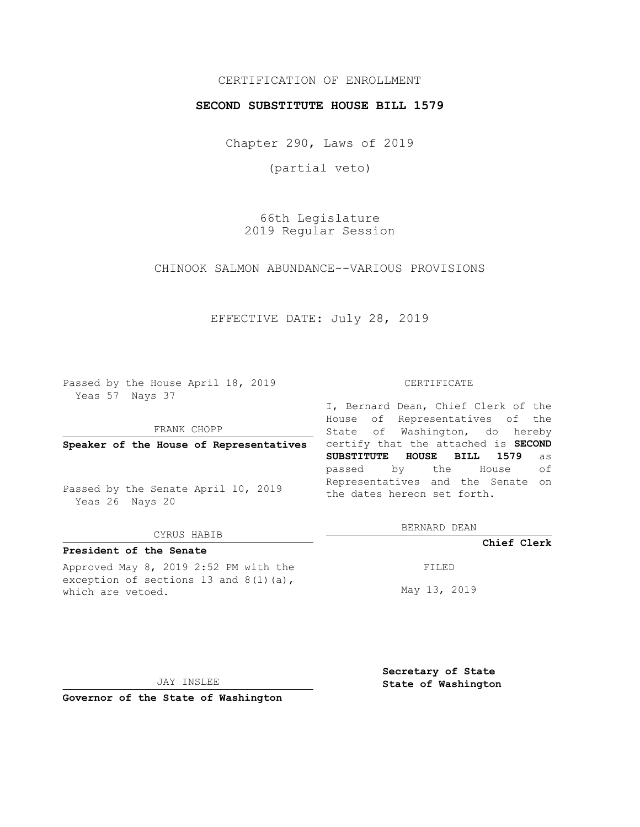# CERTIFICATION OF ENROLLMENT

#### **SECOND SUBSTITUTE HOUSE BILL 1579**

Chapter 290, Laws of 2019

(partial veto)

66th Legislature 2019 Regular Session

CHINOOK SALMON ABUNDANCE--VARIOUS PROVISIONS

# EFFECTIVE DATE: July 28, 2019

Passed by the House April 18, 2019 Yeas 57 Nays 37

FRANK CHOPP

## **Speaker of the House of Representatives**

Passed by the Senate April 10, 2019 Yeas 26 Nays 20

#### CYRUS HABIB

# **President of the Senate**

Approved May 8, 2019 2:52 PM with the exception of sections 13 and 8(1)(a), which are vetoed.

#### CERTIFICATE

I, Bernard Dean, Chief Clerk of the House of Representatives of the State of Washington, do hereby certify that the attached is **SECOND SUBSTITUTE HOUSE BILL 1579** as passed by the House of Representatives and the Senate on the dates hereon set forth.

BERNARD DEAN

#### **Chief Clerk**

FILED

May 13, 2019

JAY INSLEE

**Governor of the State of Washington**

**Secretary of State State of Washington**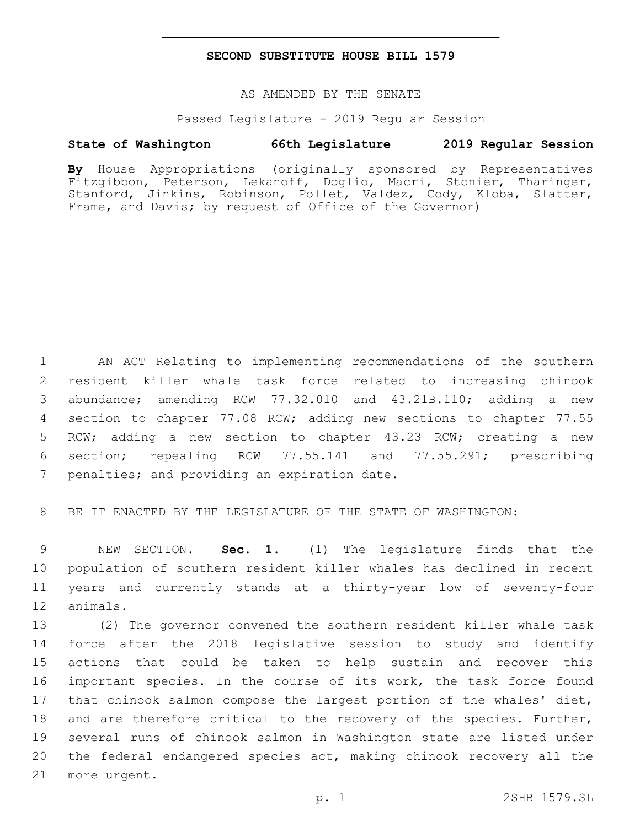### **SECOND SUBSTITUTE HOUSE BILL 1579**

AS AMENDED BY THE SENATE

Passed Legislature - 2019 Regular Session

# **State of Washington 66th Legislature 2019 Regular Session**

**By** House Appropriations (originally sponsored by Representatives Fitzgibbon, Peterson, Lekanoff, Doglio, Macri, Stonier, Tharinger, Stanford, Jinkins, Robinson, Pollet, Valdez, Cody, Kloba, Slatter, Frame, and Davis; by request of Office of the Governor)

 AN ACT Relating to implementing recommendations of the southern resident killer whale task force related to increasing chinook abundance; amending RCW 77.32.010 and 43.21B.110; adding a new section to chapter 77.08 RCW; adding new sections to chapter 77.55 RCW; adding a new section to chapter 43.23 RCW; creating a new section; repealing RCW 77.55.141 and 77.55.291; prescribing 7 penalties; and providing an expiration date.

8 BE IT ENACTED BY THE LEGISLATURE OF THE STATE OF WASHINGTON:

 NEW SECTION. **Sec. 1.** (1) The legislature finds that the population of southern resident killer whales has declined in recent years and currently stands at a thirty-year low of seventy-four 12 animals.

 (2) The governor convened the southern resident killer whale task force after the 2018 legislative session to study and identify actions that could be taken to help sustain and recover this important species. In the course of its work, the task force found 17 that chinook salmon compose the largest portion of the whales' diet, 18 and are therefore critical to the recovery of the species. Further, several runs of chinook salmon in Washington state are listed under the federal endangered species act, making chinook recovery all the 21 more urgent.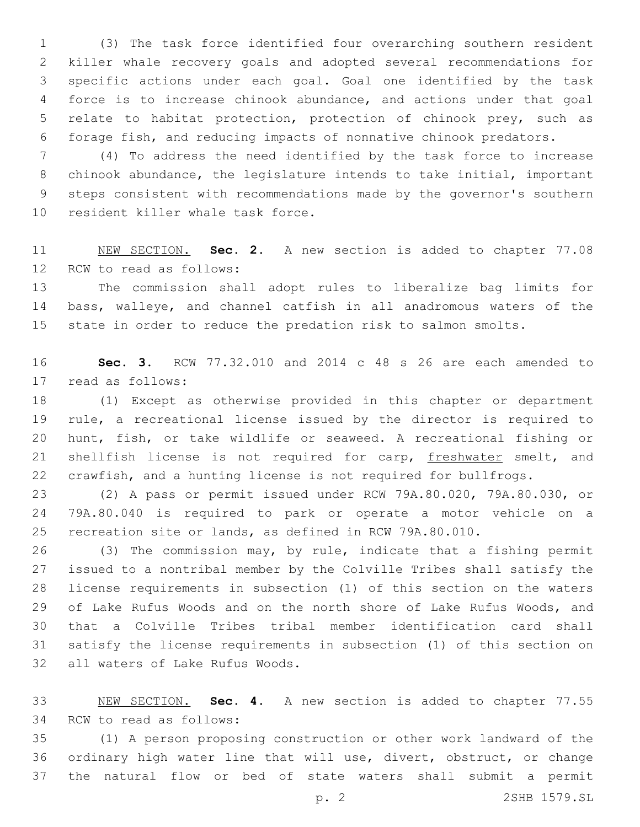(3) The task force identified four overarching southern resident killer whale recovery goals and adopted several recommendations for specific actions under each goal. Goal one identified by the task force is to increase chinook abundance, and actions under that goal relate to habitat protection, protection of chinook prey, such as forage fish, and reducing impacts of nonnative chinook predators.

 (4) To address the need identified by the task force to increase chinook abundance, the legislature intends to take initial, important steps consistent with recommendations made by the governor's southern 10 resident killer whale task force.

 NEW SECTION. **Sec. 2.** A new section is added to chapter 77.08 12 RCW to read as follows:

 The commission shall adopt rules to liberalize bag limits for bass, walleye, and channel catfish in all anadromous waters of the state in order to reduce the predation risk to salmon smolts.

 **Sec. 3.** RCW 77.32.010 and 2014 c 48 s 26 are each amended to 17 read as follows:

 (1) Except as otherwise provided in this chapter or department rule, a recreational license issued by the director is required to hunt, fish, or take wildlife or seaweed. A recreational fishing or 21 shellfish license is not required for carp, freshwater smelt, and crawfish, and a hunting license is not required for bullfrogs.

 (2) A pass or permit issued under RCW 79A.80.020, 79A.80.030, or 79A.80.040 is required to park or operate a motor vehicle on a recreation site or lands, as defined in RCW 79A.80.010.

 (3) The commission may, by rule, indicate that a fishing permit issued to a nontribal member by the Colville Tribes shall satisfy the license requirements in subsection (1) of this section on the waters of Lake Rufus Woods and on the north shore of Lake Rufus Woods, and that a Colville Tribes tribal member identification card shall satisfy the license requirements in subsection (1) of this section on 32 all waters of Lake Rufus Woods.

 NEW SECTION. **Sec. 4.** A new section is added to chapter 77.55 34 RCW to read as follows:

 (1) A person proposing construction or other work landward of the ordinary high water line that will use, divert, obstruct, or change the natural flow or bed of state waters shall submit a permit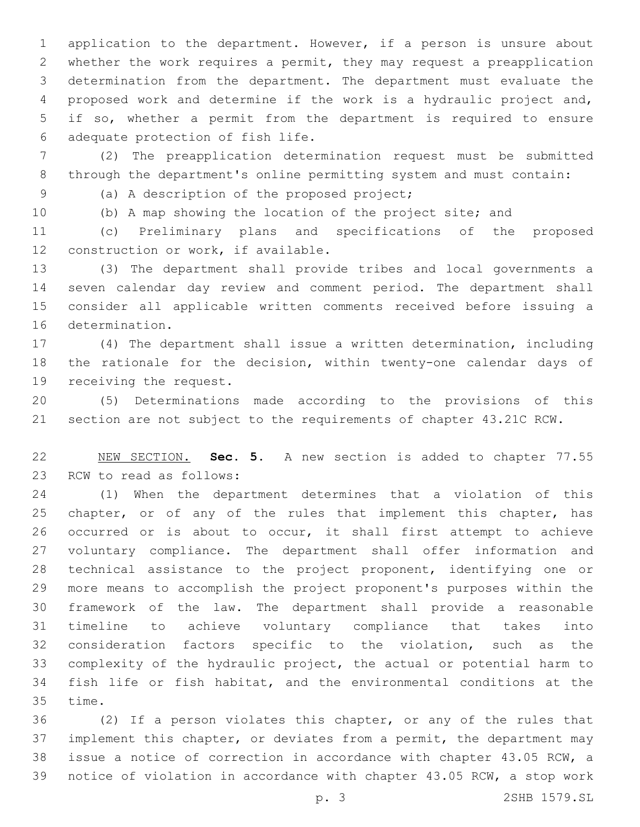application to the department. However, if a person is unsure about whether the work requires a permit, they may request a preapplication determination from the department. The department must evaluate the proposed work and determine if the work is a hydraulic project and, if so, whether a permit from the department is required to ensure 6 adequate protection of fish life.

 (2) The preapplication determination request must be submitted through the department's online permitting system and must contain:

9 (a) A description of the proposed project;

(b) A map showing the location of the project site; and

 (c) Preliminary plans and specifications of the proposed 12 construction or work, if available.

 (3) The department shall provide tribes and local governments a seven calendar day review and comment period. The department shall consider all applicable written comments received before issuing a 16 determination.

 (4) The department shall issue a written determination, including the rationale for the decision, within twenty-one calendar days of 19 receiving the request.

 (5) Determinations made according to the provisions of this section are not subject to the requirements of chapter 43.21C RCW.

 NEW SECTION. **Sec. 5.** A new section is added to chapter 77.55 23 RCW to read as follows:

 (1) When the department determines that a violation of this 25 chapter, or of any of the rules that implement this chapter, has occurred or is about to occur, it shall first attempt to achieve voluntary compliance. The department shall offer information and technical assistance to the project proponent, identifying one or more means to accomplish the project proponent's purposes within the framework of the law. The department shall provide a reasonable timeline to achieve voluntary compliance that takes into consideration factors specific to the violation, such as the complexity of the hydraulic project, the actual or potential harm to fish life or fish habitat, and the environmental conditions at the 35 time.

 (2) If a person violates this chapter, or any of the rules that 37 implement this chapter, or deviates from a permit, the department may issue a notice of correction in accordance with chapter 43.05 RCW, a notice of violation in accordance with chapter 43.05 RCW, a stop work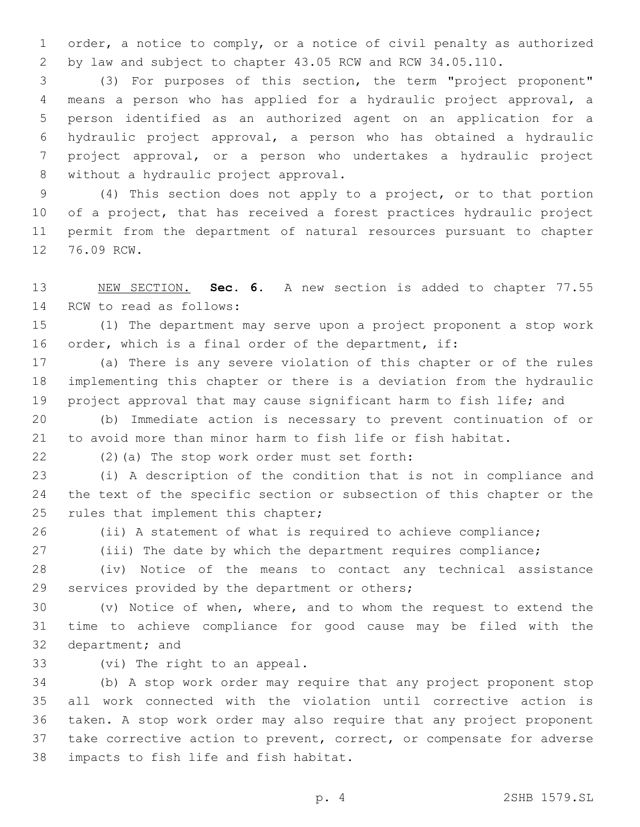order, a notice to comply, or a notice of civil penalty as authorized by law and subject to chapter 43.05 RCW and RCW 34.05.110.

 (3) For purposes of this section, the term "project proponent" means a person who has applied for a hydraulic project approval, a person identified as an authorized agent on an application for a hydraulic project approval, a person who has obtained a hydraulic project approval, or a person who undertakes a hydraulic project 8 without a hydraulic project approval.

 (4) This section does not apply to a project, or to that portion of a project, that has received a forest practices hydraulic project permit from the department of natural resources pursuant to chapter 12 76.09 RCW.

 NEW SECTION. **Sec. 6.** A new section is added to chapter 77.55 14 RCW to read as follows:

 (1) The department may serve upon a project proponent a stop work order, which is a final order of the department, if:

 (a) There is any severe violation of this chapter or of the rules implementing this chapter or there is a deviation from the hydraulic project approval that may cause significant harm to fish life; and

 (b) Immediate action is necessary to prevent continuation of or to avoid more than minor harm to fish life or fish habitat.

(2)(a) The stop work order must set forth:22

 (i) A description of the condition that is not in compliance and the text of the specific section or subsection of this chapter or the 25 rules that implement this chapter;

(ii) A statement of what is required to achieve compliance;

(iii) The date by which the department requires compliance;

 (iv) Notice of the means to contact any technical assistance 29 services provided by the department or others;

 (v) Notice of when, where, and to whom the request to extend the time to achieve compliance for good cause may be filed with the 32 department; and

33 (vi) The right to an appeal.

 (b) A stop work order may require that any project proponent stop all work connected with the violation until corrective action is taken. A stop work order may also require that any project proponent take corrective action to prevent, correct, or compensate for adverse 38 impacts to fish life and fish habitat.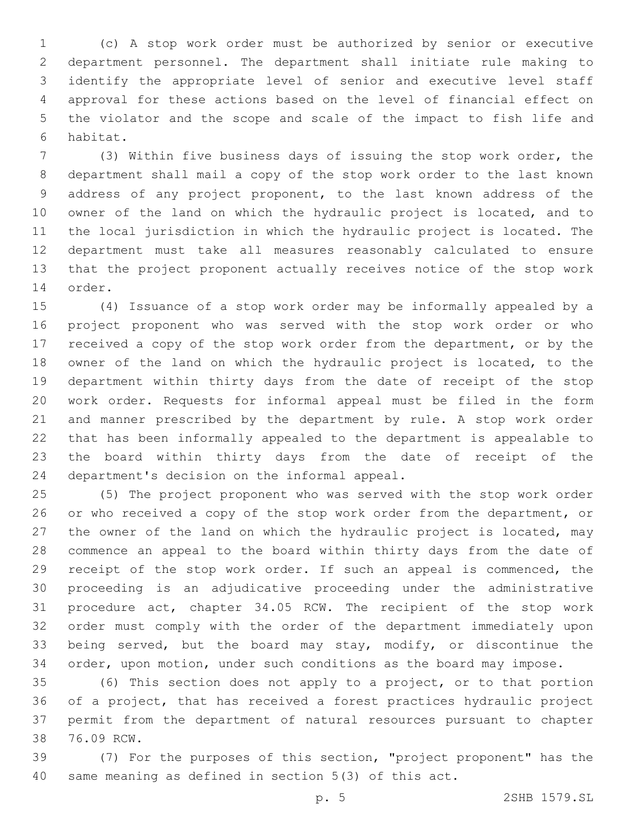(c) A stop work order must be authorized by senior or executive department personnel. The department shall initiate rule making to identify the appropriate level of senior and executive level staff approval for these actions based on the level of financial effect on the violator and the scope and scale of the impact to fish life and 6 habitat.

 (3) Within five business days of issuing the stop work order, the department shall mail a copy of the stop work order to the last known address of any project proponent, to the last known address of the owner of the land on which the hydraulic project is located, and to the local jurisdiction in which the hydraulic project is located. The department must take all measures reasonably calculated to ensure that the project proponent actually receives notice of the stop work 14 order.

 (4) Issuance of a stop work order may be informally appealed by a project proponent who was served with the stop work order or who received a copy of the stop work order from the department, or by the owner of the land on which the hydraulic project is located, to the department within thirty days from the date of receipt of the stop work order. Requests for informal appeal must be filed in the form and manner prescribed by the department by rule. A stop work order that has been informally appealed to the department is appealable to the board within thirty days from the date of receipt of the 24 department's decision on the informal appeal.

 (5) The project proponent who was served with the stop work order 26 or who received a copy of the stop work order from the department, or the owner of the land on which the hydraulic project is located, may commence an appeal to the board within thirty days from the date of receipt of the stop work order. If such an appeal is commenced, the proceeding is an adjudicative proceeding under the administrative procedure act, chapter 34.05 RCW. The recipient of the stop work order must comply with the order of the department immediately upon being served, but the board may stay, modify, or discontinue the order, upon motion, under such conditions as the board may impose.

 (6) This section does not apply to a project, or to that portion of a project, that has received a forest practices hydraulic project permit from the department of natural resources pursuant to chapter 38 76.09 RCW.

 (7) For the purposes of this section, "project proponent" has the same meaning as defined in section 5(3) of this act.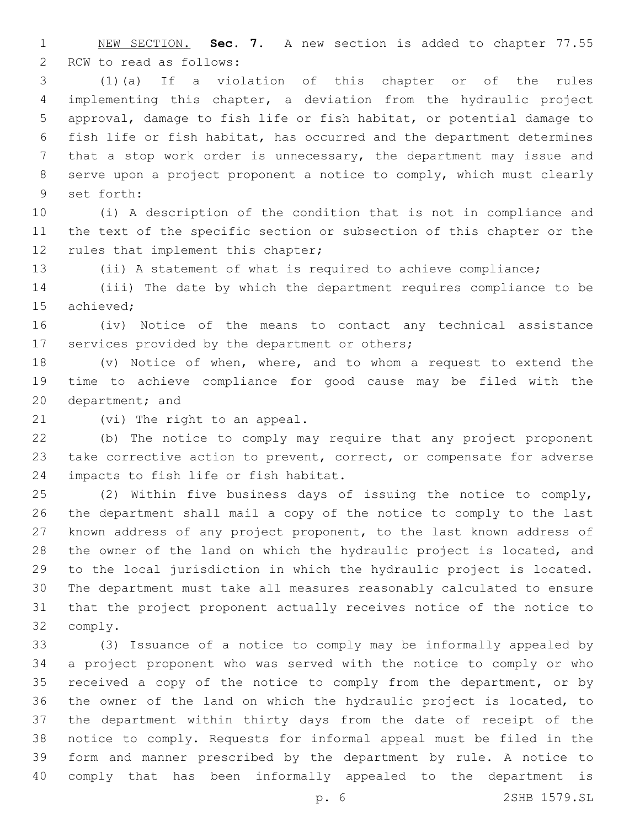NEW SECTION. **Sec. 7.** A new section is added to chapter 77.55 2 RCW to read as follows:

 (1)(a) If a violation of this chapter or of the rules implementing this chapter, a deviation from the hydraulic project approval, damage to fish life or fish habitat, or potential damage to fish life or fish habitat, has occurred and the department determines that a stop work order is unnecessary, the department may issue and serve upon a project proponent a notice to comply, which must clearly 9 set forth:

 (i) A description of the condition that is not in compliance and the text of the specific section or subsection of this chapter or the 12 rules that implement this chapter;

(ii) A statement of what is required to achieve compliance;

 (iii) The date by which the department requires compliance to be 15 achieved:

 (iv) Notice of the means to contact any technical assistance 17 services provided by the department or others;

 (v) Notice of when, where, and to whom a request to extend the time to achieve compliance for good cause may be filed with the 20 department; and

21 (vi) The right to an appeal.

 (b) The notice to comply may require that any project proponent take corrective action to prevent, correct, or compensate for adverse 24 impacts to fish life or fish habitat.

 (2) Within five business days of issuing the notice to comply, the department shall mail a copy of the notice to comply to the last known address of any project proponent, to the last known address of the owner of the land on which the hydraulic project is located, and to the local jurisdiction in which the hydraulic project is located. The department must take all measures reasonably calculated to ensure that the project proponent actually receives notice of the notice to comply.32

 (3) Issuance of a notice to comply may be informally appealed by a project proponent who was served with the notice to comply or who 35 received a copy of the notice to comply from the department, or by the owner of the land on which the hydraulic project is located, to the department within thirty days from the date of receipt of the notice to comply. Requests for informal appeal must be filed in the form and manner prescribed by the department by rule. A notice to comply that has been informally appealed to the department is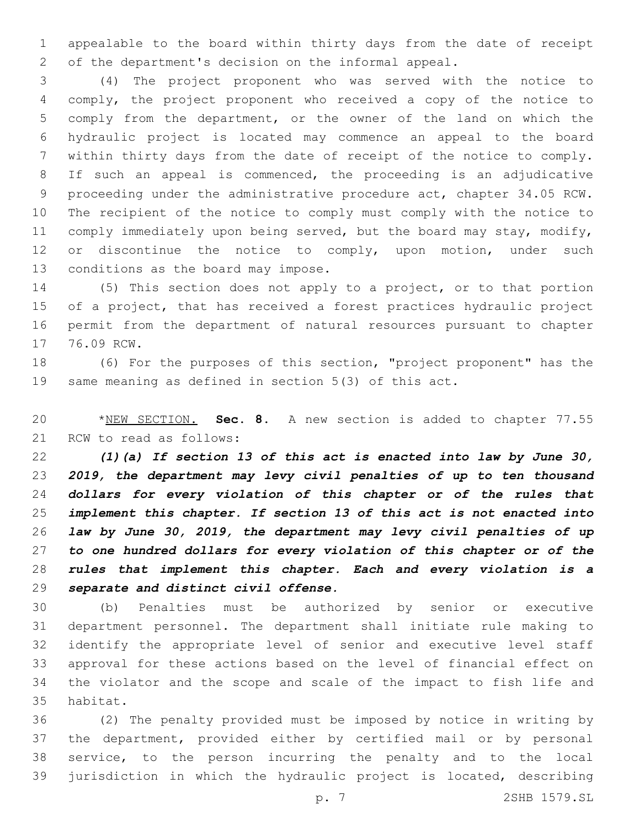appealable to the board within thirty days from the date of receipt of the department's decision on the informal appeal.

 (4) The project proponent who was served with the notice to comply, the project proponent who received a copy of the notice to comply from the department, or the owner of the land on which the hydraulic project is located may commence an appeal to the board within thirty days from the date of receipt of the notice to comply. If such an appeal is commenced, the proceeding is an adjudicative proceeding under the administrative procedure act, chapter 34.05 RCW. The recipient of the notice to comply must comply with the notice to 11 comply immediately upon being served, but the board may stay, modify, 12 or discontinue the notice to comply, upon motion, under such 13 conditions as the board may impose.

 (5) This section does not apply to a project, or to that portion 15 of a project, that has received a forest practices hydraulic project permit from the department of natural resources pursuant to chapter 17 76.09 RCW.

 (6) For the purposes of this section, "project proponent" has the same meaning as defined in section 5(3) of this act.

 \*NEW SECTION. **Sec. 8.** A new section is added to chapter 77.55 21 RCW to read as follows:

 *(1)(a) If section 13 of this act is enacted into law by June 30, 2019, the department may levy civil penalties of up to ten thousand dollars for every violation of this chapter or of the rules that implement this chapter. If section 13 of this act is not enacted into law by June 30, 2019, the department may levy civil penalties of up to one hundred dollars for every violation of this chapter or of the rules that implement this chapter. Each and every violation is a separate and distinct civil offense.*

 (b) Penalties must be authorized by senior or executive department personnel. The department shall initiate rule making to identify the appropriate level of senior and executive level staff approval for these actions based on the level of financial effect on the violator and the scope and scale of the impact to fish life and 35 habitat.

 (2) The penalty provided must be imposed by notice in writing by the department, provided either by certified mail or by personal service, to the person incurring the penalty and to the local jurisdiction in which the hydraulic project is located, describing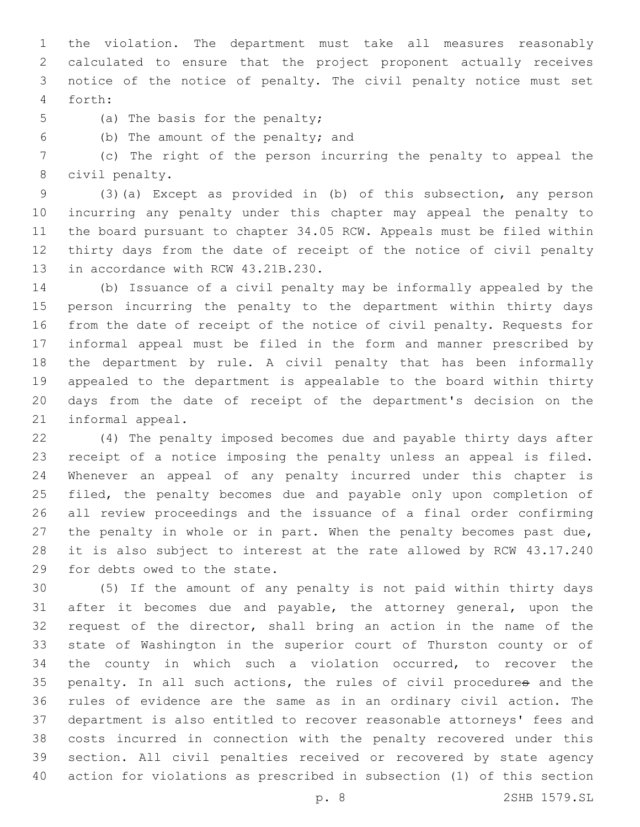the violation. The department must take all measures reasonably calculated to ensure that the project proponent actually receives notice of the notice of penalty. The civil penalty notice must set forth:4

5 (a) The basis for the penalty;

(b) The amount of the penalty; and6

 (c) The right of the person incurring the penalty to appeal the 8 civil penalty.

 (3)(a) Except as provided in (b) of this subsection, any person incurring any penalty under this chapter may appeal the penalty to the board pursuant to chapter 34.05 RCW. Appeals must be filed within thirty days from the date of receipt of the notice of civil penalty 13 in accordance with RCW 43.21B.230.

 (b) Issuance of a civil penalty may be informally appealed by the person incurring the penalty to the department within thirty days from the date of receipt of the notice of civil penalty. Requests for informal appeal must be filed in the form and manner prescribed by the department by rule. A civil penalty that has been informally appealed to the department is appealable to the board within thirty days from the date of receipt of the department's decision on the 21 informal appeal.

 (4) The penalty imposed becomes due and payable thirty days after receipt of a notice imposing the penalty unless an appeal is filed. Whenever an appeal of any penalty incurred under this chapter is 25 filed, the penalty becomes due and payable only upon completion of all review proceedings and the issuance of a final order confirming 27 the penalty in whole or in part. When the penalty becomes past due, it is also subject to interest at the rate allowed by RCW 43.17.240 29 for debts owed to the state.

 (5) If the amount of any penalty is not paid within thirty days after it becomes due and payable, the attorney general, upon the request of the director, shall bring an action in the name of the state of Washington in the superior court of Thurston county or of the county in which such a violation occurred, to recover the penalty. In all such actions, the rules of civil procedures and the rules of evidence are the same as in an ordinary civil action. The department is also entitled to recover reasonable attorneys' fees and costs incurred in connection with the penalty recovered under this section. All civil penalties received or recovered by state agency action for violations as prescribed in subsection (1) of this section

p. 8 2SHB 1579.SL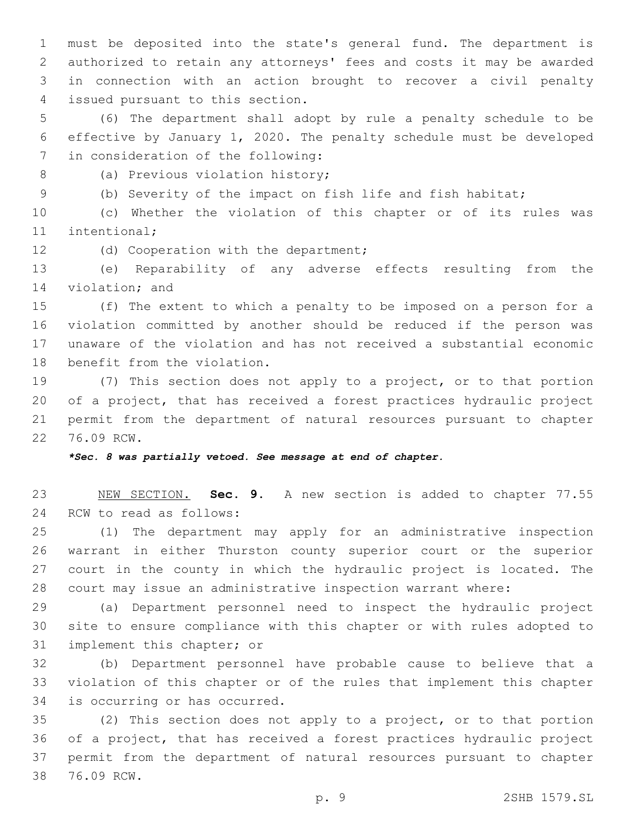must be deposited into the state's general fund. The department is authorized to retain any attorneys' fees and costs it may be awarded in connection with an action brought to recover a civil penalty issued pursuant to this section.4

 (6) The department shall adopt by rule a penalty schedule to be effective by January 1, 2020. The penalty schedule must be developed 7 in consideration of the following:

8 (a) Previous violation history;

(b) Severity of the impact on fish life and fish habitat;

 (c) Whether the violation of this chapter or of its rules was 11 intentional;

12 (d) Cooperation with the department;

 (e) Reparability of any adverse effects resulting from the 14 violation; and

 (f) The extent to which a penalty to be imposed on a person for a violation committed by another should be reduced if the person was unaware of the violation and has not received a substantial economic 18 benefit from the violation.

 (7) This section does not apply to a project, or to that portion of a project, that has received a forest practices hydraulic project permit from the department of natural resources pursuant to chapter 22 76.09 RCW.

*\*Sec. 8 was partially vetoed. See message at end of chapter.*

 NEW SECTION. **Sec. 9.** A new section is added to chapter 77.55 24 RCW to read as follows:

 (1) The department may apply for an administrative inspection warrant in either Thurston county superior court or the superior court in the county in which the hydraulic project is located. The court may issue an administrative inspection warrant where:

 (a) Department personnel need to inspect the hydraulic project site to ensure compliance with this chapter or with rules adopted to 31 implement this chapter; or

 (b) Department personnel have probable cause to believe that a violation of this chapter or of the rules that implement this chapter 34 is occurring or has occurred.

 (2) This section does not apply to a project, or to that portion of a project, that has received a forest practices hydraulic project permit from the department of natural resources pursuant to chapter 38 76.09 RCW.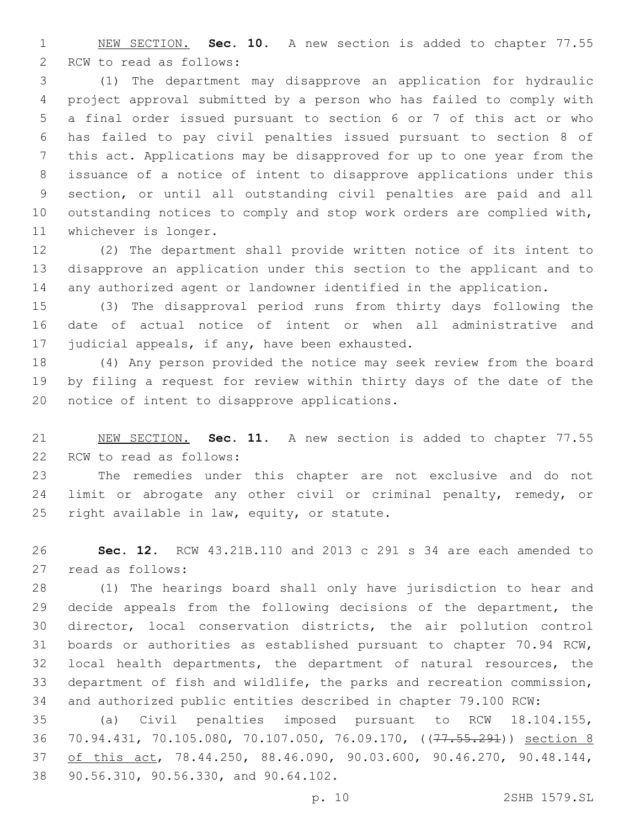NEW SECTION. **Sec. 10.** A new section is added to chapter 77.55 2 RCW to read as follows:

 (1) The department may disapprove an application for hydraulic project approval submitted by a person who has failed to comply with a final order issued pursuant to section 6 or 7 of this act or who has failed to pay civil penalties issued pursuant to section 8 of this act. Applications may be disapproved for up to one year from the issuance of a notice of intent to disapprove applications under this section, or until all outstanding civil penalties are paid and all outstanding notices to comply and stop work orders are complied with, 11 whichever is longer.

 (2) The department shall provide written notice of its intent to disapprove an application under this section to the applicant and to any authorized agent or landowner identified in the application.

 (3) The disapproval period runs from thirty days following the date of actual notice of intent or when all administrative and 17 judicial appeals, if any, have been exhausted.

 (4) Any person provided the notice may seek review from the board by filing a request for review within thirty days of the date of the 20 notice of intent to disapprove applications.

 NEW SECTION. **Sec. 11.** A new section is added to chapter 77.55 22 RCW to read as follows:

 The remedies under this chapter are not exclusive and do not 24 limit or abrogate any other civil or criminal penalty, remedy, or 25 right available in law, equity, or statute.

 **Sec. 12.** RCW 43.21B.110 and 2013 c 291 s 34 are each amended to read as follows:27

 (1) The hearings board shall only have jurisdiction to hear and decide appeals from the following decisions of the department, the director, local conservation districts, the air pollution control boards or authorities as established pursuant to chapter 70.94 RCW, local health departments, the department of natural resources, the department of fish and wildlife, the parks and recreation commission, and authorized public entities described in chapter 79.100 RCW:

 (a) Civil penalties imposed pursuant to RCW 18.104.155, 36 70.94.431, 70.105.080, 70.107.050, 76.09.170, ((77.55.291)) section 8 37 of this act, 78.44.250, 88.46.090, 90.03.600, 90.46.270, 90.48.144, 38 90.56.310, 90.56.330, and 90.64.102.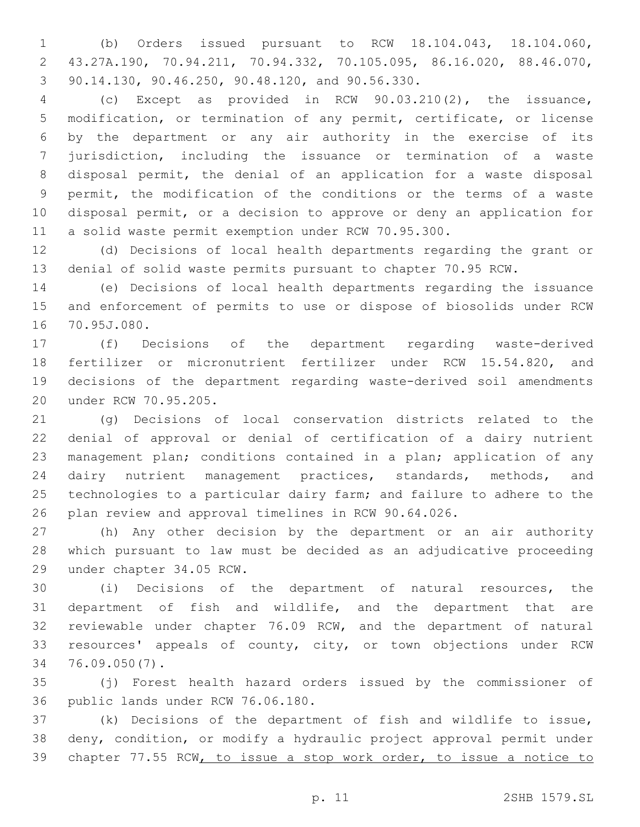(b) Orders issued pursuant to RCW 18.104.043, 18.104.060, 43.27A.190, 70.94.211, 70.94.332, 70.105.095, 86.16.020, 88.46.070, 3 90.14.130, 90.46.250, 90.48.120, and 90.56.330.

 (c) Except as provided in RCW 90.03.210(2), the issuance, modification, or termination of any permit, certificate, or license by the department or any air authority in the exercise of its jurisdiction, including the issuance or termination of a waste disposal permit, the denial of an application for a waste disposal permit, the modification of the conditions or the terms of a waste disposal permit, or a decision to approve or deny an application for a solid waste permit exemption under RCW 70.95.300.

 (d) Decisions of local health departments regarding the grant or denial of solid waste permits pursuant to chapter 70.95 RCW.

 (e) Decisions of local health departments regarding the issuance and enforcement of permits to use or dispose of biosolids under RCW 16 70.95J.080.

 (f) Decisions of the department regarding waste-derived fertilizer or micronutrient fertilizer under RCW 15.54.820, and decisions of the department regarding waste-derived soil amendments under RCW 70.95.205.20

 (g) Decisions of local conservation districts related to the denial of approval or denial of certification of a dairy nutrient management plan; conditions contained in a plan; application of any dairy nutrient management practices, standards, methods, and technologies to a particular dairy farm; and failure to adhere to the plan review and approval timelines in RCW 90.64.026.

 (h) Any other decision by the department or an air authority which pursuant to law must be decided as an adjudicative proceeding 29 under chapter 34.05 RCW.

 (i) Decisions of the department of natural resources, the department of fish and wildlife, and the department that are reviewable under chapter 76.09 RCW, and the department of natural resources' appeals of county, city, or town objections under RCW 76.09.050(7).34

 (j) Forest health hazard orders issued by the commissioner of 36 public lands under RCW 76.06.180.

 (k) Decisions of the department of fish and wildlife to issue, deny, condition, or modify a hydraulic project approval permit under chapter 77.55 RCW, to issue a stop work order, to issue a notice to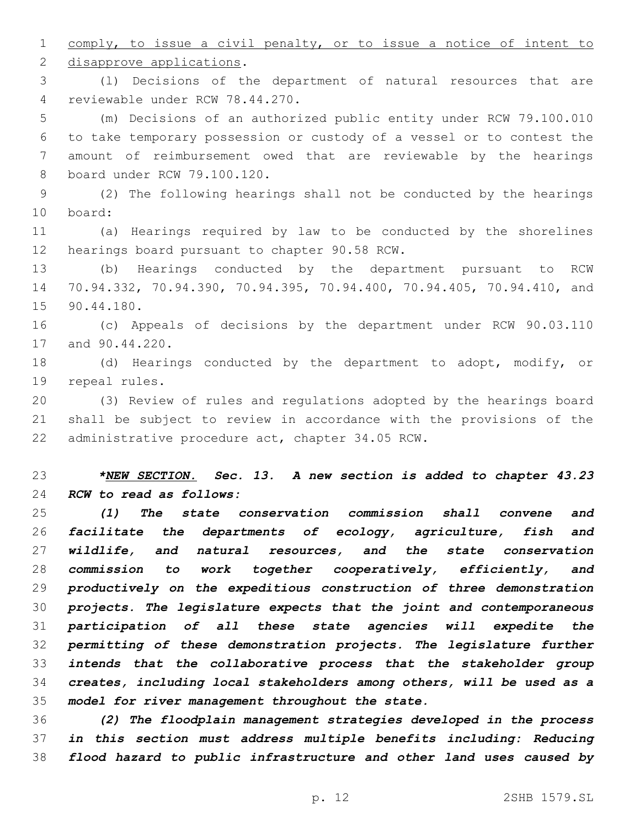comply, to issue a civil penalty, or to issue a notice of intent to 2 disapprove applications.

 (l) Decisions of the department of natural resources that are 4 reviewable under RCW 78.44.270.

 (m) Decisions of an authorized public entity under RCW 79.100.010 to take temporary possession or custody of a vessel or to contest the amount of reimbursement owed that are reviewable by the hearings 8 board under RCW 79.100.120.

 (2) The following hearings shall not be conducted by the hearings 10 board:

 (a) Hearings required by law to be conducted by the shorelines 12 hearings board pursuant to chapter 90.58 RCW.

 (b) Hearings conducted by the department pursuant to RCW 70.94.332, 70.94.390, 70.94.395, 70.94.400, 70.94.405, 70.94.410, and 15 90.44.180.

 (c) Appeals of decisions by the department under RCW 90.03.110 17 and 90.44.220.

 (d) Hearings conducted by the department to adopt, modify, or 19 repeal rules.

 (3) Review of rules and regulations adopted by the hearings board shall be subject to review in accordance with the provisions of the 22 administrative procedure act, chapter 34.05 RCW.

 *\*NEW SECTION. Sec. 13. A new section is added to chapter 43.23 RCW to read as follows:*

 *(1) The state conservation commission shall convene and facilitate the departments of ecology, agriculture, fish and wildlife, and natural resources, and the state conservation commission to work together cooperatively, efficiently, and productively on the expeditious construction of three demonstration projects. The legislature expects that the joint and contemporaneous participation of all these state agencies will expedite the permitting of these demonstration projects. The legislature further intends that the collaborative process that the stakeholder group creates, including local stakeholders among others, will be used as a model for river management throughout the state.*

 *(2) The floodplain management strategies developed in the process in this section must address multiple benefits including: Reducing flood hazard to public infrastructure and other land uses caused by*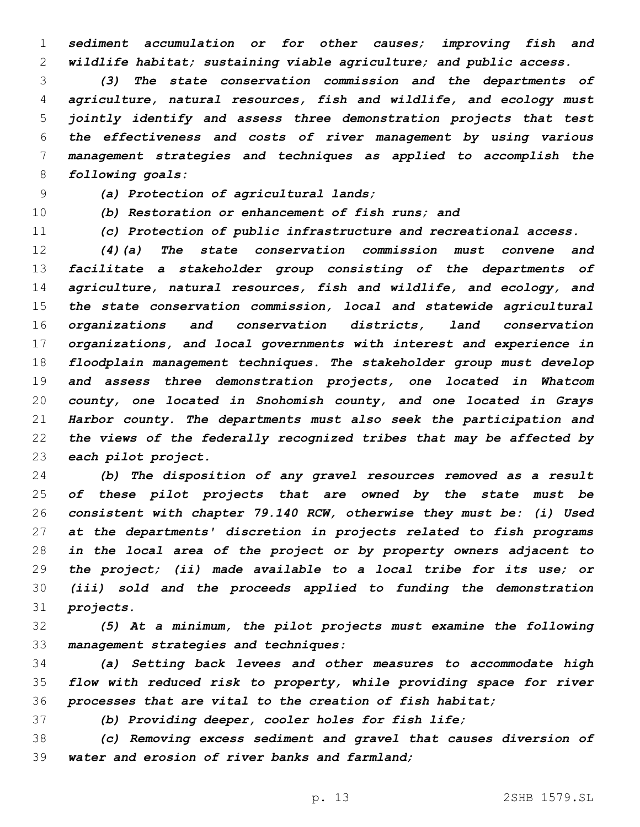*sediment accumulation or for other causes; improving fish and wildlife habitat; sustaining viable agriculture; and public access.*

 *(3) The state conservation commission and the departments of agriculture, natural resources, fish and wildlife, and ecology must jointly identify and assess three demonstration projects that test the effectiveness and costs of river management by using various management strategies and techniques as applied to accomplish the following goals:*

*(a) Protection of agricultural lands;*

*(b) Restoration or enhancement of fish runs; and*

*(c) Protection of public infrastructure and recreational access.*

 *(4)(a) The state conservation commission must convene and facilitate a stakeholder group consisting of the departments of agriculture, natural resources, fish and wildlife, and ecology, and the state conservation commission, local and statewide agricultural organizations and conservation districts, land conservation organizations, and local governments with interest and experience in floodplain management techniques. The stakeholder group must develop and assess three demonstration projects, one located in Whatcom county, one located in Snohomish county, and one located in Grays Harbor county. The departments must also seek the participation and the views of the federally recognized tribes that may be affected by each pilot project.*

 *(b) The disposition of any gravel resources removed as a result of these pilot projects that are owned by the state must be consistent with chapter 79.140 RCW, otherwise they must be: (i) Used at the departments' discretion in projects related to fish programs in the local area of the project or by property owners adjacent to the project; (ii) made available to a local tribe for its use; or (iii) sold and the proceeds applied to funding the demonstration projects.*

 *(5) At a minimum, the pilot projects must examine the following management strategies and techniques:*

 *(a) Setting back levees and other measures to accommodate high flow with reduced risk to property, while providing space for river processes that are vital to the creation of fish habitat;*

*(b) Providing deeper, cooler holes for fish life;*

 *(c) Removing excess sediment and gravel that causes diversion of water and erosion of river banks and farmland;*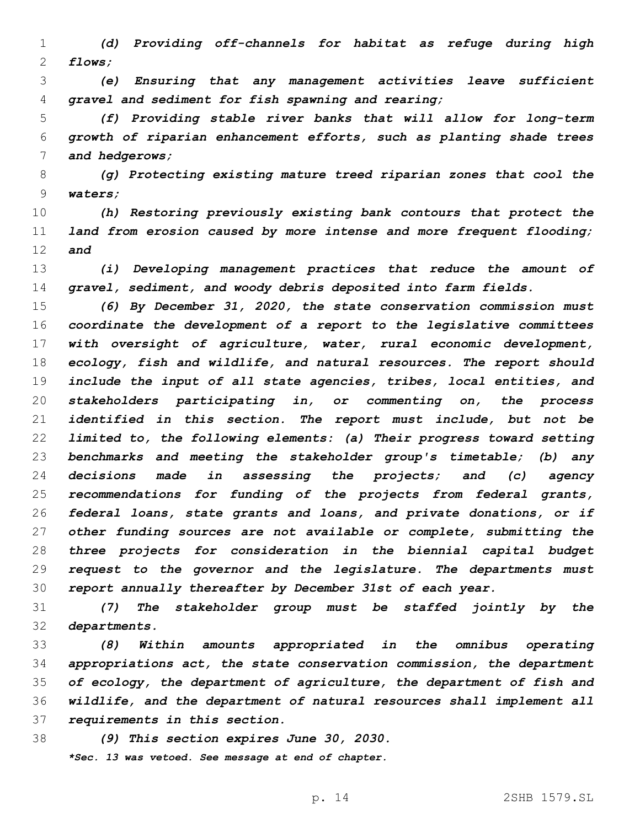*(d) Providing off-channels for habitat as refuge during high flows;*

 *(e) Ensuring that any management activities leave sufficient gravel and sediment for fish spawning and rearing;*

 *(f) Providing stable river banks that will allow for long-term growth of riparian enhancement efforts, such as planting shade trees and hedgerows;*

 *(g) Protecting existing mature treed riparian zones that cool the waters;*

 *(h) Restoring previously existing bank contours that protect the land from erosion caused by more intense and more frequent flooding; and*

 *(i) Developing management practices that reduce the amount of gravel, sediment, and woody debris deposited into farm fields.*

 *(6) By December 31, 2020, the state conservation commission must coordinate the development of a report to the legislative committees with oversight of agriculture, water, rural economic development, ecology, fish and wildlife, and natural resources. The report should include the input of all state agencies, tribes, local entities, and stakeholders participating in, or commenting on, the process identified in this section. The report must include, but not be limited to, the following elements: (a) Their progress toward setting benchmarks and meeting the stakeholder group's timetable; (b) any decisions made in assessing the projects; and (c) agency recommendations for funding of the projects from federal grants, federal loans, state grants and loans, and private donations, or if other funding sources are not available or complete, submitting the three projects for consideration in the biennial capital budget request to the governor and the legislature. The departments must report annually thereafter by December 31st of each year.*

 *(7) The stakeholder group must be staffed jointly by the departments.*

 *(8) Within amounts appropriated in the omnibus operating appropriations act, the state conservation commission, the department of ecology, the department of agriculture, the department of fish and wildlife, and the department of natural resources shall implement all requirements in this section.*

 *(9) This section expires June 30, 2030. \*Sec. 13 was vetoed. See message at end of chapter.*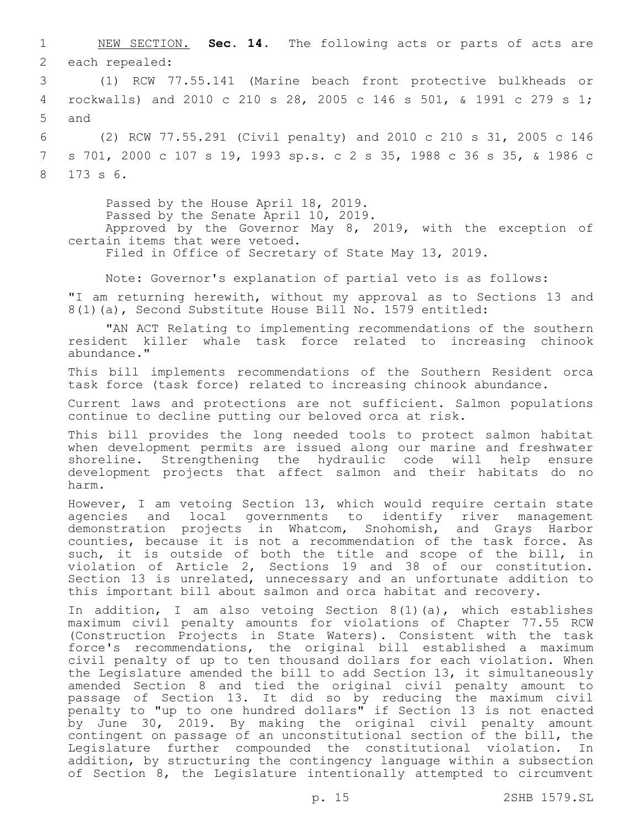1 NEW SECTION. **Sec. 14.** The following acts or parts of acts are 2 each repealed:

3 (1) RCW 77.55.141 (Marine beach front protective bulkheads or 4 rockwalls) and 2010 c 210 s 28, 2005 c 146 s 501, & 1991 c 279 s 1; 5 and

6 (2) RCW 77.55.291 (Civil penalty) and 2010 c 210 s 31, 2005 c 146 7 s 701, 2000 c 107 s 19, 1993 sp.s. c 2 s 35, 1988 c 36 s 35, & 1986 c 8 173 s 6.

Passed by the House April 18, 2019. Passed by the Senate April 10, 2019. Approved by the Governor May 8, 2019, with the exception of certain items that were vetoed. Filed in Office of Secretary of State May 13, 2019.

Note: Governor's explanation of partial veto is as follows:

"I am returning herewith, without my approval as to Sections 13 and 8(1)(a), Second Substitute House Bill No. 1579 entitled:

"AN ACT Relating to implementing recommendations of the southern resident killer whale task force related to increasing chinook abundance."

This bill implements recommendations of the Southern Resident orca task force (task force) related to increasing chinook abundance.

Current laws and protections are not sufficient. Salmon populations continue to decline putting our beloved orca at risk.

This bill provides the long needed tools to protect salmon habitat when development permits are issued along our marine and freshwater shoreline. Strengthening the hydraulic code will help ensure development projects that affect salmon and their habitats do no harm.

However, I am vetoing Section 13, which would require certain state agencies and local governments to identify river management demonstration projects in Whatcom, Snohomish, and Grays Harbor counties, because it is not a recommendation of the task force. As such, it is outside of both the title and scope of the bill, in violation of Article 2, Sections 19 and 38 of our constitution. Section 13 is unrelated, unnecessary and an unfortunate addition to this important bill about salmon and orca habitat and recovery.

In addition, I am also vetoing Section 8(1)(a), which establishes maximum civil penalty amounts for violations of Chapter 77.55 RCW (Construction Projects in State Waters). Consistent with the task force's recommendations, the original bill established a maximum civil penalty of up to ten thousand dollars for each violation. When the Legislature amended the bill to add Section 13, it simultaneously amended Section 8 and tied the original civil penalty amount to passage of Section 13. It did so by reducing the maximum civil penalty to "up to one hundred dollars" if Section 13 is not enacted by June 30, 2019. By making the original civil penalty amount contingent on passage of an unconstitutional section of the bill, the Legislature further compounded the constitutional violation. In addition, by structuring the contingency language within a subsection of Section 8, the Legislature intentionally attempted to circumvent